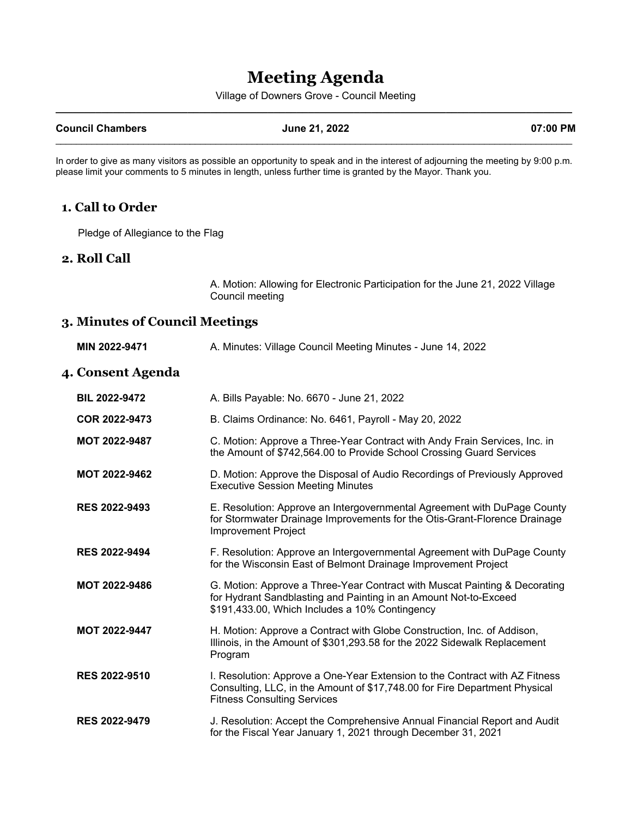## **Meeting Agenda**

Village of Downers Grove - Council Meeting **\_\_\_\_\_\_\_\_\_\_\_\_\_\_\_\_\_\_\_\_\_\_\_\_\_\_\_\_\_\_\_\_\_\_\_\_\_\_\_\_\_\_\_\_\_\_\_\_\_\_\_\_\_\_\_\_\_\_\_\_\_\_\_\_\_\_\_\_\_\_\_\_\_\_\_\_\_\_\_\_\_\_\_\_\_\_\_\_\_\_**

#### **Council Chambers June 21, 2022 07:00 PM**

# $\mathcal{L}_\mathcal{L} = \{ \mathcal{L}_\mathcal{L} = \{ \mathcal{L}_\mathcal{L} = \{ \mathcal{L}_\mathcal{L} = \{ \mathcal{L}_\mathcal{L} = \{ \mathcal{L}_\mathcal{L} = \{ \mathcal{L}_\mathcal{L} = \{ \mathcal{L}_\mathcal{L} = \{ \mathcal{L}_\mathcal{L} = \{ \mathcal{L}_\mathcal{L} = \{ \mathcal{L}_\mathcal{L} = \{ \mathcal{L}_\mathcal{L} = \{ \mathcal{L}_\mathcal{L} = \{ \mathcal{L}_\mathcal{L} = \{ \mathcal{L}_\mathcal{$

In order to give as many visitors as possible an opportunity to speak and in the interest of adjourning the meeting by 9:00 p.m. please limit your comments to 5 minutes in length, unless further time is granted by the Mayor. Thank you.

#### **1. Call to Order**

Pledge of Allegiance to the Flag

#### **2. Roll Call**

A. Motion: Allowing for Electronic Participation for the June 21, 2022 Village Council meeting

### **3. Minutes of Council Meetings**

| MIN 2022-9471        | A. Minutes: Village Council Meeting Minutes - June 14, 2022                                                                                                                                      |
|----------------------|--------------------------------------------------------------------------------------------------------------------------------------------------------------------------------------------------|
| 4. Consent Agenda    |                                                                                                                                                                                                  |
| <b>BIL 2022-9472</b> | A. Bills Payable: No. 6670 - June 21, 2022                                                                                                                                                       |
| COR 2022-9473        | B. Claims Ordinance: No. 6461, Payroll - May 20, 2022                                                                                                                                            |
| MOT 2022-9487        | C. Motion: Approve a Three-Year Contract with Andy Frain Services, Inc. in<br>the Amount of \$742,564.00 to Provide School Crossing Guard Services                                               |
| <b>MOT 2022-9462</b> | D. Motion: Approve the Disposal of Audio Recordings of Previously Approved<br><b>Executive Session Meeting Minutes</b>                                                                           |
| <b>RES 2022-9493</b> | E. Resolution: Approve an Intergovernmental Agreement with DuPage County<br>for Stormwater Drainage Improvements for the Otis-Grant-Florence Drainage<br>Improvement Project                     |
| <b>RES 2022-9494</b> | F. Resolution: Approve an Intergovernmental Agreement with DuPage County<br>for the Wisconsin East of Belmont Drainage Improvement Project                                                       |
| <b>MOT 2022-9486</b> | G. Motion: Approve a Three-Year Contract with Muscat Painting & Decorating<br>for Hydrant Sandblasting and Painting in an Amount Not-to-Exceed<br>\$191,433.00, Which Includes a 10% Contingency |
| <b>MOT 2022-9447</b> | H. Motion: Approve a Contract with Globe Construction, Inc. of Addison,<br>Illinois, in the Amount of \$301,293.58 for the 2022 Sidewalk Replacement<br>Program                                  |
| <b>RES 2022-9510</b> | I. Resolution: Approve a One-Year Extension to the Contract with AZ Fitness<br>Consulting, LLC, in the Amount of \$17,748.00 for Fire Department Physical<br><b>Fitness Consulting Services</b>  |
| <b>RES 2022-9479</b> | J. Resolution: Accept the Comprehensive Annual Financial Report and Audit<br>for the Fiscal Year January 1, 2021 through December 31, 2021                                                       |